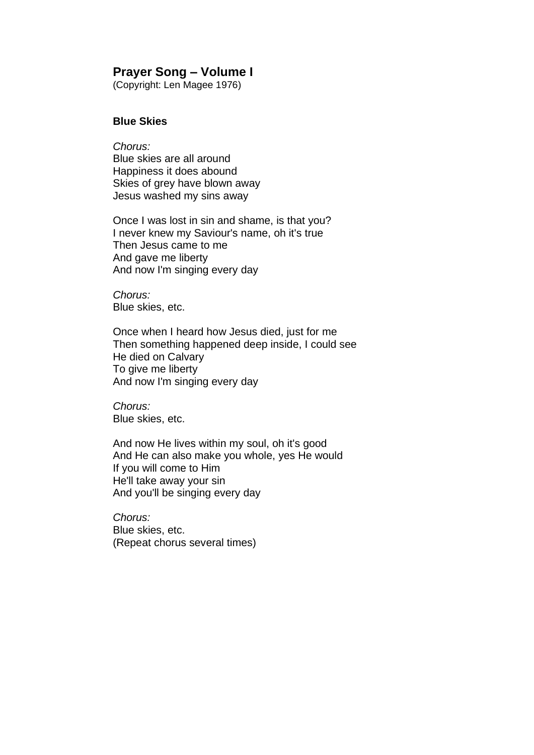# **Prayer Song – Volume I**

(Copyright: Len Magee 1976)

### **Blue Skies**

*Chorus:* Blue skies are all around Happiness it does abound Skies of grey have blown away Jesus washed my sins away

Once I was lost in sin and shame, is that you? I never knew my Saviour's name, oh it's true Then Jesus came to me And gave me liberty And now I'm singing every day

*Chorus:* Blue skies, etc.

Once when I heard how Jesus died, just for me Then something happened deep inside, I could see He died on Calvary To give me liberty And now I'm singing every day

*Chorus:* Blue skies, etc.

And now He lives within my soul, oh it's good And He can also make you whole, yes He would If you will come to Him He'll take away your sin And you'll be singing every day

*Chorus:* Blue skies, etc. (Repeat chorus several times)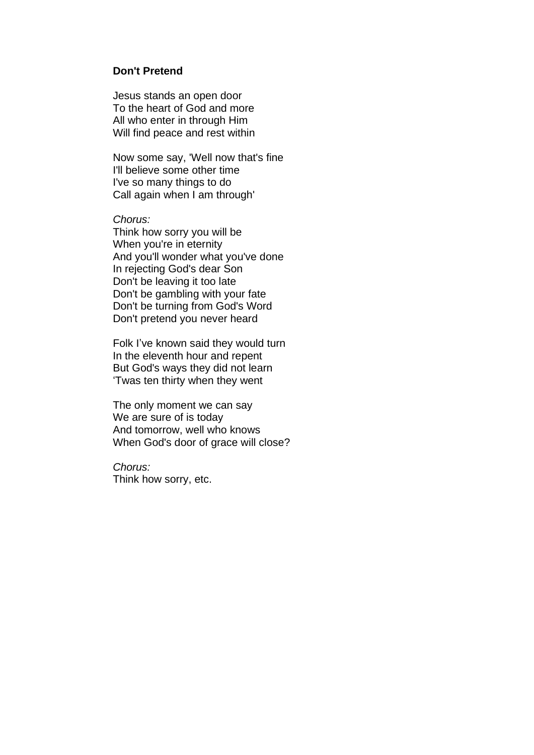#### **Don't Pretend**

Jesus stands an open door To the heart of God and more All who enter in through Him Will find peace and rest within

Now some say, 'Well now that's fine I'll believe some other time I've so many things to do Call again when I am through'

#### *Chorus:*

Think how sorry you will be When you're in eternity And you'll wonder what you've done In rejecting God's dear Son Don't be leaving it too late Don't be gambling with your fate Don't be turning from God's Word Don't pretend you never heard

Folk I've known said they would turn In the eleventh hour and repent But God's ways they did not learn 'Twas ten thirty when they went

The only moment we can say We are sure of is today And tomorrow, well who knows When God's door of grace will close?

*Chorus:* Think how sorry, etc.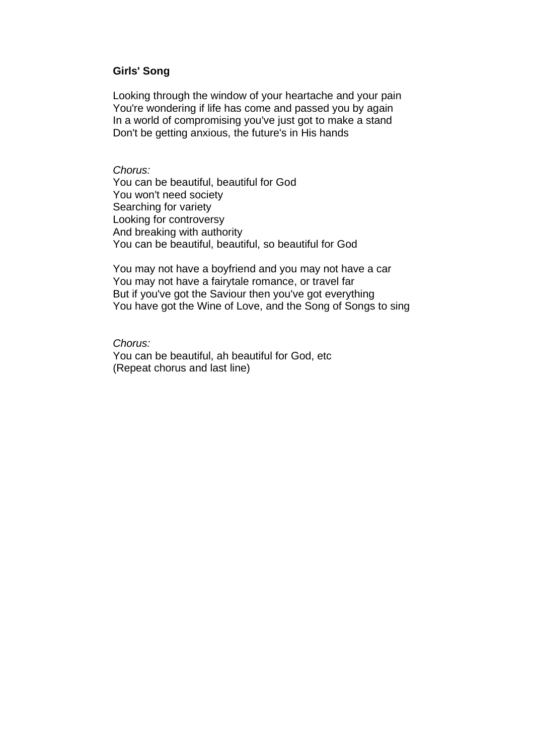#### **Girls' Song**

Looking through the window of your heartache and your pain You're wondering if life has come and passed you by again In a world of compromising you've just got to make a stand Don't be getting anxious, the future's in His hands

#### *Chorus:*

You can be beautiful, beautiful for God You won't need society Searching for variety Looking for controversy And breaking with authority You can be beautiful, beautiful, so beautiful for God

You may not have a boyfriend and you may not have a car You may not have a fairytale romance, or travel far But if you've got the Saviour then you've got everything You have got the Wine of Love, and the Song of Songs to sing

# *Chorus:*

You can be beautiful, ah beautiful for God, etc (Repeat chorus and last line)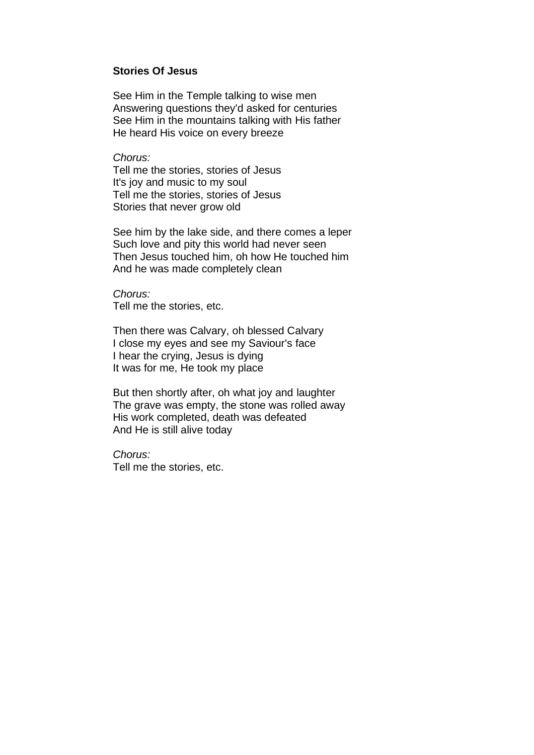## **Stories Of Jesus**

See Him in the Temple talking to wise men Answering questions they'd asked for centuries See Him in the mountains talking with His father He heard His voice on every breeze

*Chorus:*

Tell me the stories, stories of Jesus It's joy and music to my soul Tell me the stories, stories of Jesus Stories that never grow old

See him by the lake side, and there comes a leper Such love and pity this world had never seen Then Jesus touched him, oh how He touched him And he was made completely clean

*Chorus:* Tell me the stories, etc.

Then there was Calvary, oh blessed Calvary I close my eyes and see my Saviour's face I hear the crying, Jesus is dying It was for me, He took my place

But then shortly after, oh what joy and laughter The grave was empty, the stone was rolled away His work completed, death was defeated And He is still alive today

*Chorus:* Tell me the stories, etc.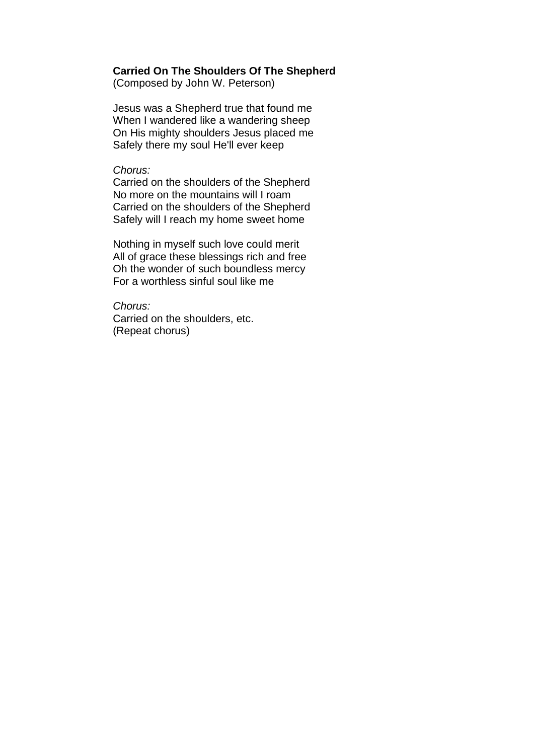## **Carried On The Shoulders Of The Shepherd**

(Composed by John W. Peterson)

Jesus was a Shepherd true that found me When I wandered like a wandering sheep On His mighty shoulders Jesus placed me Safely there my soul He'll ever keep

#### *Chorus:*

Carried on the shoulders of the Shepherd No more on the mountains will I roam Carried on the shoulders of the Shepherd Safely will I reach my home sweet home

Nothing in myself such love could merit All of grace these blessings rich and free Oh the wonder of such boundless mercy For a worthless sinful soul like me

*Chorus:* Carried on the shoulders, etc. (Repeat chorus)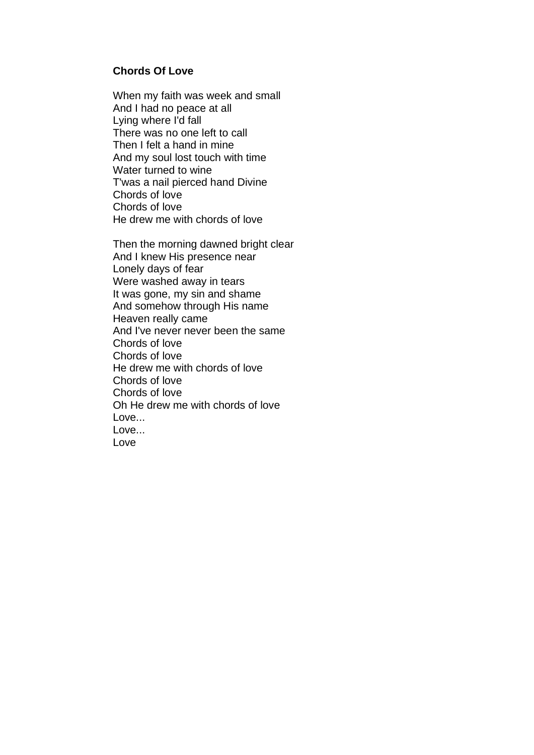# **Chords Of Love**

When my faith was week and small And I had no peace at all Lying where I'd fall There was no one left to call Then I felt a hand in mine And my soul lost touch with time Water turned to wine T'was a nail pierced hand Divine Chords of love Chords of love He drew me with chords of love

Then the morning dawned bright clear And I knew His presence near Lonely days of fear Were washed away in tears It was gone, my sin and shame And somehow through His name Heaven really came And I've never never been the same Chords of love Chords of love He drew me with chords of love Chords of love Chords of love Oh He drew me with chords of love Love... Love... Love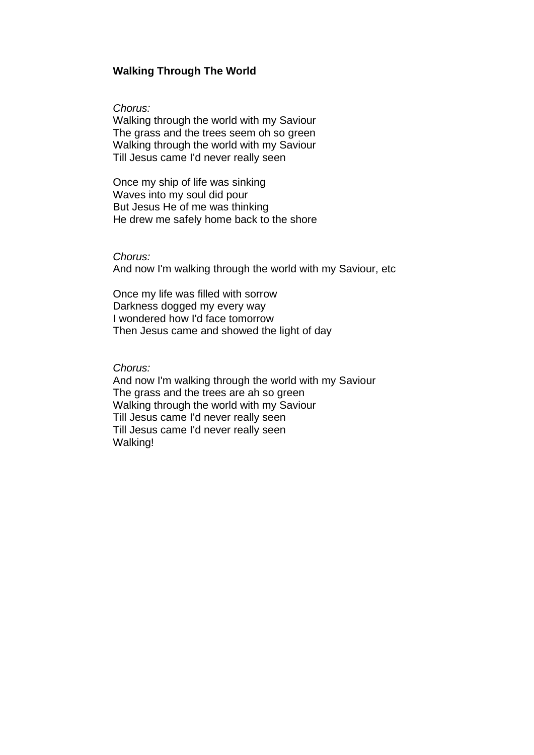### **Walking Through The World**

*Chorus:*

Walking through the world with my Saviour The grass and the trees seem oh so green Walking through the world with my Saviour Till Jesus came I'd never really seen

Once my ship of life was sinking Waves into my soul did pour But Jesus He of me was thinking He drew me safely home back to the shore

*Chorus:*

And now I'm walking through the world with my Saviour, etc

Once my life was filled with sorrow Darkness dogged my every way I wondered how I'd face tomorrow Then Jesus came and showed the light of day

*Chorus:*

And now I'm walking through the world with my Saviour The grass and the trees are ah so green Walking through the world with my Saviour Till Jesus came I'd never really seen Till Jesus came I'd never really seen Walking!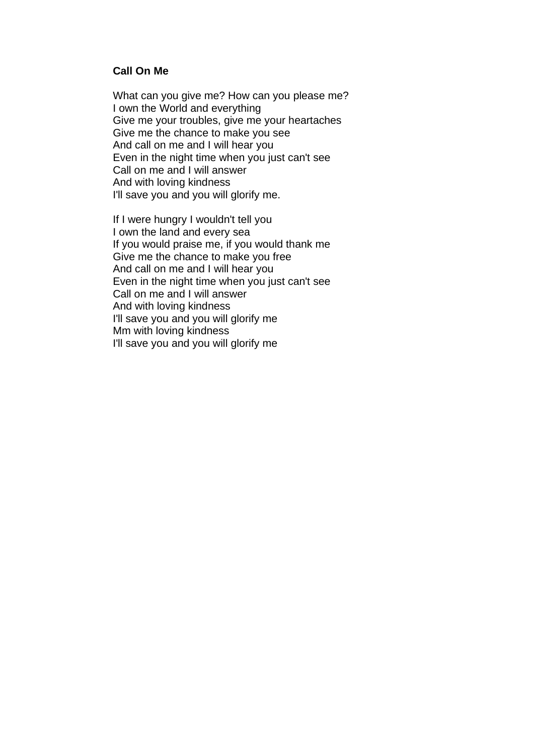# **Call On Me**

What can you give me? How can you please me? I own the World and everything Give me your troubles, give me your heartaches Give me the chance to make you see And call on me and I will hear you Even in the night time when you just can't see Call on me and I will answer And with loving kindness I'll save you and you will glorify me.

If I were hungry I wouldn't tell you I own the land and every sea If you would praise me, if you would thank me Give me the chance to make you free And call on me and I will hear you Even in the night time when you just can't see Call on me and I will answer And with loving kindness I'll save you and you will glorify me Mm with loving kindness I'll save you and you will glorify me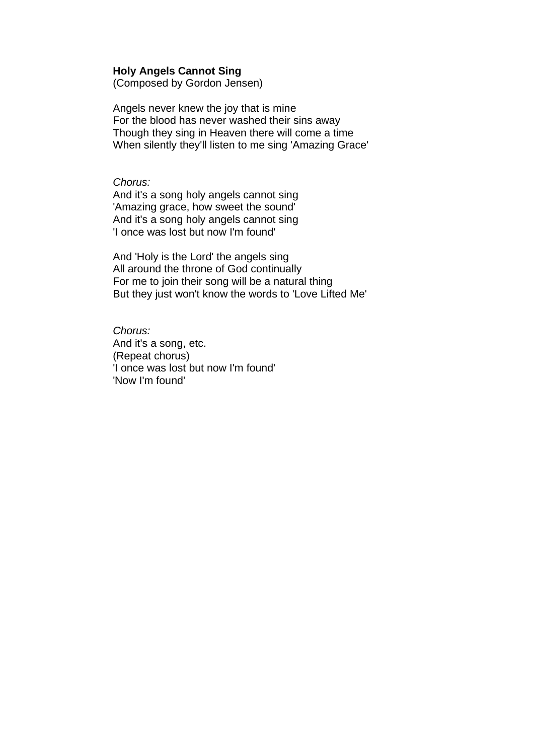#### **Holy Angels Cannot Sing**

(Composed by Gordon Jensen)

Angels never knew the joy that is mine For the blood has never washed their sins away Though they sing in Heaven there will come a time When silently they'll listen to me sing 'Amazing Grace'

## *Chorus:*

And it's a song holy angels cannot sing 'Amazing grace, how sweet the sound' And it's a song holy angels cannot sing 'I once was lost but now I'm found'

And 'Holy is the Lord' the angels sing All around the throne of God continually For me to join their song will be a natural thing But they just won't know the words to 'Love Lifted Me'

*Chorus:* And it's a song, etc. (Repeat chorus) 'I once was lost but now I'm found' 'Now I'm found'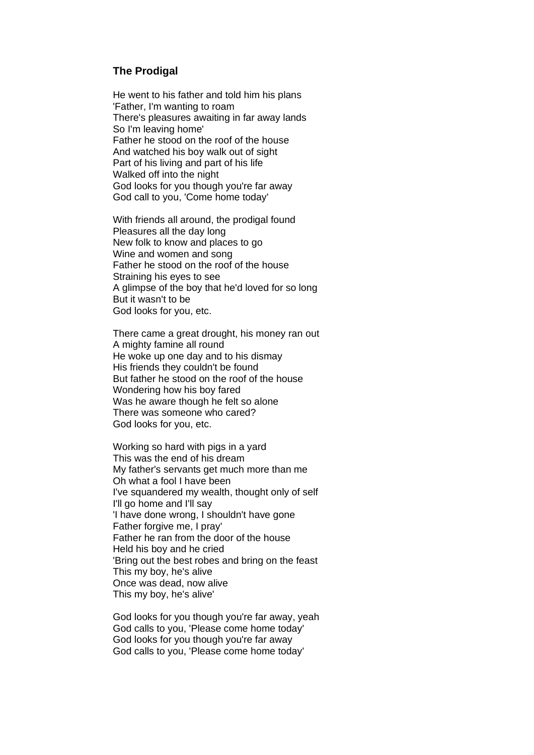#### **The Prodigal**

He went to his father and told him his plans 'Father, I'm wanting to roam There's pleasures awaiting in far away lands So I'm leaving home' Father he stood on the roof of the house And watched his boy walk out of sight Part of his living and part of his life Walked off into the night God looks for you though you're far away God call to you, 'Come home today'

With friends all around, the prodigal found Pleasures all the day long New folk to know and places to go Wine and women and song Father he stood on the roof of the house Straining his eyes to see A glimpse of the boy that he'd loved for so long But it wasn't to be God looks for you, etc.

There came a great drought, his money ran out A mighty famine all round He woke up one day and to his dismay His friends they couldn't be found But father he stood on the roof of the house Wondering how his boy fared Was he aware though he felt so alone There was someone who cared? God looks for you, etc.

Working so hard with pigs in a yard This was the end of his dream My father's servants get much more than me Oh what a fool I have been I've squandered my wealth, thought only of self I'll go home and I'll say 'I have done wrong, I shouldn't have gone Father forgive me, I pray' Father he ran from the door of the house Held his boy and he cried 'Bring out the best robes and bring on the feast This my boy, he's alive Once was dead, now alive This my boy, he's alive'

God looks for you though you're far away, yeah God calls to you, 'Please come home today' God looks for you though you're far away God calls to you, 'Please come home today'